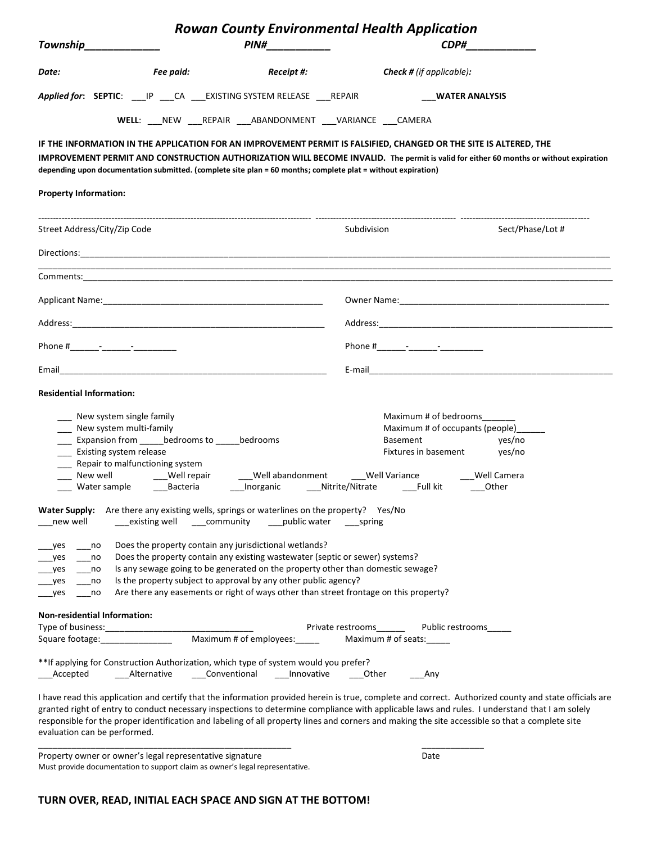| <b>Rowan County Environmental Health Application</b>                                                                                                                                                                                                                                                                                                                                                                                                                   |                                                          |                                                                                                                                                                                                                                   |                                            |                                                                                                                                                                                                                                                                                                                                                                                                                                                            |
|------------------------------------------------------------------------------------------------------------------------------------------------------------------------------------------------------------------------------------------------------------------------------------------------------------------------------------------------------------------------------------------------------------------------------------------------------------------------|----------------------------------------------------------|-----------------------------------------------------------------------------------------------------------------------------------------------------------------------------------------------------------------------------------|--------------------------------------------|------------------------------------------------------------------------------------------------------------------------------------------------------------------------------------------------------------------------------------------------------------------------------------------------------------------------------------------------------------------------------------------------------------------------------------------------------------|
| Township______________                                                                                                                                                                                                                                                                                                                                                                                                                                                 |                                                          | PIN#____________                                                                                                                                                                                                                  |                                            | CDP#_____________                                                                                                                                                                                                                                                                                                                                                                                                                                          |
| Date:                                                                                                                                                                                                                                                                                                                                                                                                                                                                  | Fee paid:                                                |                                                                                                                                                                                                                                   | <b>Receipt #:</b> Check # (if applicable): |                                                                                                                                                                                                                                                                                                                                                                                                                                                            |
|                                                                                                                                                                                                                                                                                                                                                                                                                                                                        |                                                          | Applied for: SEPTIC: ___ IP ___ CA ____ EXISTING SYSTEM RELEASE ___ REPAIR                                                                                                                                                        |                                            | <b>WATER ANALYSIS</b>                                                                                                                                                                                                                                                                                                                                                                                                                                      |
|                                                                                                                                                                                                                                                                                                                                                                                                                                                                        |                                                          | WELL: NEW REPAIR ___ ABANDONMENT ___ VARIANCE ___ CAMERA                                                                                                                                                                          |                                            |                                                                                                                                                                                                                                                                                                                                                                                                                                                            |
|                                                                                                                                                                                                                                                                                                                                                                                                                                                                        |                                                          | IF THE INFORMATION IN THE APPLICATION FOR AN IMPROVEMENT PERMIT IS FALSIFIED, CHANGED OR THE SITE IS ALTERED, THE<br>depending upon documentation submitted. (complete site plan = 60 months; complete plat = without expiration) |                                            | IMPROVEMENT PERMIT AND CONSTRUCTION AUTHORIZATION WILL BECOME INVALID. The permit is valid for either 60 months or without expiration                                                                                                                                                                                                                                                                                                                      |
| <b>Property Information:</b>                                                                                                                                                                                                                                                                                                                                                                                                                                           |                                                          |                                                                                                                                                                                                                                   |                                            |                                                                                                                                                                                                                                                                                                                                                                                                                                                            |
| Street Address/City/Zip Code                                                                                                                                                                                                                                                                                                                                                                                                                                           |                                                          |                                                                                                                                                                                                                                   | Subdivision                                | Sect/Phase/Lot #                                                                                                                                                                                                                                                                                                                                                                                                                                           |
|                                                                                                                                                                                                                                                                                                                                                                                                                                                                        |                                                          |                                                                                                                                                                                                                                   |                                            |                                                                                                                                                                                                                                                                                                                                                                                                                                                            |
|                                                                                                                                                                                                                                                                                                                                                                                                                                                                        |                                                          |                                                                                                                                                                                                                                   |                                            |                                                                                                                                                                                                                                                                                                                                                                                                                                                            |
|                                                                                                                                                                                                                                                                                                                                                                                                                                                                        |                                                          |                                                                                                                                                                                                                                   |                                            |                                                                                                                                                                                                                                                                                                                                                                                                                                                            |
|                                                                                                                                                                                                                                                                                                                                                                                                                                                                        |                                                          |                                                                                                                                                                                                                                   |                                            |                                                                                                                                                                                                                                                                                                                                                                                                                                                            |
|                                                                                                                                                                                                                                                                                                                                                                                                                                                                        |                                                          |                                                                                                                                                                                                                                   |                                            |                                                                                                                                                                                                                                                                                                                                                                                                                                                            |
|                                                                                                                                                                                                                                                                                                                                                                                                                                                                        |                                                          |                                                                                                                                                                                                                                   |                                            |                                                                                                                                                                                                                                                                                                                                                                                                                                                            |
| <b>Residential Information:</b>                                                                                                                                                                                                                                                                                                                                                                                                                                        |                                                          |                                                                                                                                                                                                                                   |                                            |                                                                                                                                                                                                                                                                                                                                                                                                                                                            |
| ___ New system single family<br>__ New system multi-family<br>Expansion from bedrooms to bedrooms<br>Existing system release<br>__ Repair to malfunctioning system<br>New well __________Well repair ___________Well abandonment ________Well Variance ___________________ Well Camera<br>___ Water sample    ___Bacteria    ___Inorganic    ___Nitrite/Nitrate    ___Full kit    ___Other                                                                             |                                                          |                                                                                                                                                                                                                                   |                                            | Maximum # of bedrooms<br>Maximum # of occupants (people)<br>Basement yes/no<br>Fixtures in basement yes/no                                                                                                                                                                                                                                                                                                                                                 |
| new well                                                                                                                                                                                                                                                                                                                                                                                                                                                               | ____community<br>existing well                           | Water Supply: Are there any existing wells, springs or waterlines on the property? Yes/No<br>____public water                                                                                                                     | spring                                     |                                                                                                                                                                                                                                                                                                                                                                                                                                                            |
| Does the property contain any jurisdictional wetlands?<br>_yes<br>no<br>Does the property contain any existing wastewater (septic or sewer) systems?<br>no<br>_yes<br>Is any sewage going to be generated on the property other than domestic sewage?<br>_yes<br>no<br>Is the property subject to approval by any other public agency?<br>_yes<br>no<br>Are there any easements or right of ways other than street frontage on this property?<br>$_{\text{yes}}$<br>no |                                                          |                                                                                                                                                                                                                                   |                                            |                                                                                                                                                                                                                                                                                                                                                                                                                                                            |
| <b>Non-residential Information:</b>                                                                                                                                                                                                                                                                                                                                                                                                                                    |                                                          | Maximum # of employees:                                                                                                                                                                                                           | Private restrooms<br>Maximum # of seats:   | Public restrooms                                                                                                                                                                                                                                                                                                                                                                                                                                           |
| Accepted                                                                                                                                                                                                                                                                                                                                                                                                                                                               | Alternative                                              | ** If applying for Construction Authorization, which type of system would you prefer?<br>Conventional Innovative                                                                                                                  | Other<br>Any                               |                                                                                                                                                                                                                                                                                                                                                                                                                                                            |
| evaluation can be performed.                                                                                                                                                                                                                                                                                                                                                                                                                                           |                                                          |                                                                                                                                                                                                                                   |                                            | I have read this application and certify that the information provided herein is true, complete and correct. Authorized county and state officials are<br>granted right of entry to conduct necessary inspections to determine compliance with applicable laws and rules. I understand that I am solely<br>responsible for the proper identification and labeling of all property lines and corners and making the site accessible so that a complete site |
|                                                                                                                                                                                                                                                                                                                                                                                                                                                                        | Property owner or owner's legal representative signature |                                                                                                                                                                                                                                   | Date                                       |                                                                                                                                                                                                                                                                                                                                                                                                                                                            |

Must provide documentation to support claim as owner's legal representative.